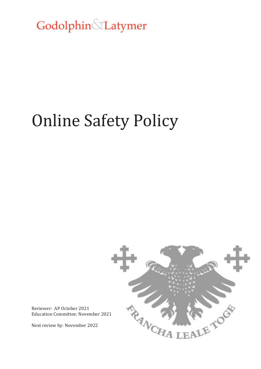Godolphin&Latymer

# Online Safety Policy



Reviewer: AP October 2021 Education Committee: November 2021

Next review by: November 2022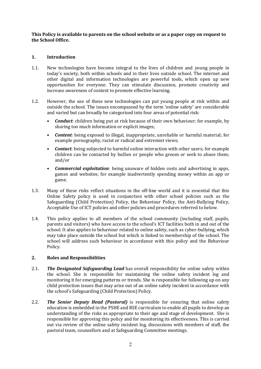## **This Policy is available to parents on the school website or as a paper copy on request to the School Office.**

# **1. Introduction**

- 1.1. New technologies have become integral to the lives of children and young people in today's society, both within schools and in their lives outside school. The internet and other digital and information technologies are powerful tools, which open up new opportunities for everyone. They can stimulate discussion, promote creativity and increase awareness of context to promote effective learning.
- 1.2. However, the use of these new technologies can put young people at risk within and outside the school. The issues encompassed by the term 'online safety' are considerable and varied but can broadly be categorised into four areas of potential risk:
	- *Conduct*: children being put at risk because of their own behaviour; for example, by sharing too much information or explicit images;
	- *Content*: being exposed to illegal, inappropriate, unreliable or harmful material; for example pornography, racist or radical and extremist views;
	- *Contact*: being subjected to harmful online interaction with other users; for example children can be contacted by bullies or people who groom or seek to abuse them; and/or
	- *Commercial exploitation*: being unaware of hidden costs and advertising in apps, games and websites; for example inadvertently spending money within an app or game.
- 1.3. Many of these risks reflect situations in the off-line world and it is essential that this Online Safety policy is used in conjunction with other school policies such as the Safeguarding (Child Protection) Policy, the Behaviour Policy, the Anti-Bullying Policy, Acceptable Use of ICT policies and other policies and procedures referred to below.
- 1.4. This policy applies to all members of the school community (including staff, pupils, parents and visitors) who have access to the school's ICT facilities both in and out of the school. It also applies to behaviour related to online safety, such as cyber-bullying, which may take place outside the school but which is linked to membership of the school. The school will address such behaviour in accordance with this policy and the Behaviour Policy.

## **2. Roles and Responsibilities**

- 2.1. *The Designated Safeguarding Lead* has overall responsibility for online safety within the school. She is responsible for maintaining the online safety incident log and monitoring it for emerging patterns or trends. She is responsible for following up on any child protection issues that may arise out of an online safety incident in accordance with the school's Safeguarding (Child Protection) Policy.
- 2.2. *The Senior Deputy Head (Pastoral)* is responsible for ensuring that online safety education is embedded in the PSHE and RSE curriculum to enable all pupils to develop an understanding of the risks as appropriate to their age and stage of development. She is responsible for approving this policy and for monitoring its effectiveness. This is carried out via review of the online safety incident log, discussions with members of staff, the pastoral team, counsellors and at Safeguarding Committee meetings.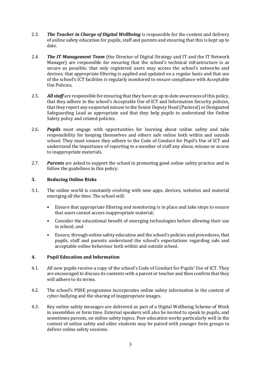- 2.3. **The Teacher in Charge of Digital Wellbeing** is responsible for the content and delivery of online safety education for pupils, staff and parents and ensuring that this is kept up to date.
- 2.4. *The IT Management Team* (the Director of Digital Strategy and IT and the IT Network Manager) are responsible for ensuring that the school's technical infrastructure is as secure as possible; that only registered users may access the school's networks and devices; that appropriate filtering is applied and updated on a regular basis and that use of the school's ICT facilities is regularly monitored to ensure compliance with Acceptable Use Policies.
- 2.5. *All staff* are responsible for ensuring that they have an up to date awareness of this policy, that they adhere to the school's Acceptable Use of ICT and Information Security policies, that they report any suspected misuse to the Senior Deputy Head (Pastoral) or Designated Safeguarding Lead as appropriate and that they help pupils to understand the Online Safety policy and related policies.
- 2.6. *Pupils* must engage with opportunities for learning about online safety and take responsibility for keeping themselves and others safe online both within and outside school. They must ensure they adhere to the Code of Conduct for Pupil's Use of ICT and understand the importance of reporting to a member of staff any abuse, misuse or access to inappropriate materials.
- 2.7. *Parents* are asked to support the school in promoting good online safety practice and to follow the guidelines in this policy.

# **3. Reducing Online Risks**

- 3.1. The online world is constantly evolving with new apps, devices, websites and material emerging all the time. The school will:
	- Ensure that appropriate filtering and monitoring is in place and take steps to ensure that users cannot access inappropriate material;
	- Consider the educational benefit of emerging technologies before allowing their use in school; and
	- Ensure, through online safety education and the school's policies and procedures, that pupils, staff and parents understand the school's expectations regarding safe and acceptable online behaviour both within and outside school.

## **4. Pupil Education and Information**

- 4.1. All new pupils receive a copy of the school's Code of Conduct for Pupils' Use of ICT. They are encouraged to discuss its contents with a parent or teacher and then confirm that they will adhere to its terms.
- 4.2. The school's PSHE programme incorporates online safety information in the context of cyber-bullying and the sharing of inappropriate images.
- 4.3. Key online safety messages are delivered as part of a Digital Wellbeing Scheme of Work in assemblies or form time. External speakers will also be invited to speak to pupils, and sometimes parents, on online safety topics. Peer education works particularly well in the context of online safety and older students may be paired with younger form groups to deliver online safety sessions.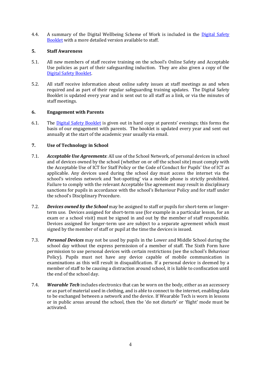4.4. A summary of the Digital Wellbeing Scheme of Work is included in the Digital Safety [Booklet](file:///C:/Users/kfrayling/AppData/Local/Microsoft/Windows/INetCache/Content.Outlook/03NT7DR4/(https:/drive.google.com/file/d/1h35KsduaQBovD-3EFbf6r3C5DZlCYW8Y/view%3fusp=sharing)) with a more detailed version available to staff.

# **5. Staff Awareness**

- 5.1. All new members of staff receive training on the school's Online Safety and Acceptable Use policies as part of their safeguarding induction. They are also given a copy of the [Digital Safety Booklet.](file:///C:/Users/kfrayling/AppData/Local/Microsoft/Windows/INetCache/Content.Outlook/03NT7DR4/(https:/drive.google.com/file/d/1h35KsduaQBovD-3EFbf6r3C5DZlCYW8Y/view%3fusp=sharing))
- 5.2. All staff receive information about online safety issues at staff meetings as and when required and as part of their regular safeguarding training updates. The Digital Safety Booklet is updated every year and is sent out to all staff as a link, or via the minutes of staff meetings.

# **6. Engagement with Parents**

6.1. The [Digital Safety Booklet](https://drive.google.com/file/d/1h35KsduaQBovD-3EFbf6r3C5DZlCYW8Y/view?usp=sharing) is given out in hard copy at parents' evenings; this forms the basis of our engagement with parents. The booklet is updated every year and sent out annually at the start of the academic year usually via email.

# **7. Use of Technology in School**

- 7.1. *Acceptable Use Agreements*: All use of the School Network, of personal devices in school and of devices owned by the school (whether on or off the school site) must comply with the Acceptable Use of ICT for Staff Policy or the Code of Conduct for Pupils' Use of ICT as applicable. Any devices used during the school day must access the internet via the school's wireless network and 'hot-spotting' via a mobile phone is strictly prohibited. Failure to comply with the relevant Acceptable Use agreement may result in disciplinary sanctions for pupils in accordance with the school's Behaviour Policy and for staff under the school's Disciplinary Procedure.
- 7.2. *Devices owned by the School* may be assigned to staff or pupils for short-term or longerterm use. Devices assigned for short-term use (for example in a particular lesson, for an exam or a school visit) must be signed in and out by the member of staff responsible. Devices assigned for longer-term use are subject to a separate agreement which must signed by the member of staff or pupil at the time the devices is issued.
- 7.3. *Personal Devices* may not be used by pupils in the Lower and Middle School during the school day without the express permission of a member of staff. The Sixth Form have permission to use personal devices with certain restrictions (see the school's Behaviour Policy). Pupils must not have any device capable of mobile communication in examinations as this will result in disqualification. If a personal device is deemed by a member of staff to be causing a distraction around school, it is liable to confiscation until the end of the school day.
- 7.4. *Wearable Tech* includes electronics that can be worn on the body, either as an accessory or as part of material used in clothing, and is able to connect to the internet, enabling data to be exchanged between a network and the device. If Wearable Tech is worn in lessons or in public areas around the school, then the 'do not disturb' or 'flight' mode must be activated.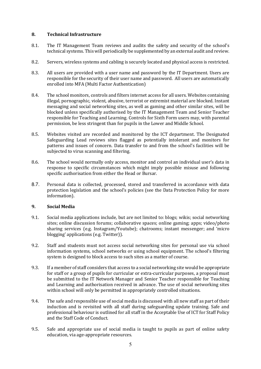## **8. Technical Infrastructure**

- 8.1. The IT Management Team reviews and audits the safety and security of the school's technical systems. This will periodically be supplemented by an external audit and review.
- 8.2. Servers, wireless systems and cabling is securely located and physical access is restricted.
- 8.3. All users are provided with a user name and password by the IT Department. Users are responsible for the security of their user name and password. All users are automatically enrolled into MFA (Multi Factor Authentication)
- 8.4. The school monitors, controls and filters internet access for all users. Websites containing illegal, pornographic, violent, abusive, terrorist or extremist material are blocked. Instant messaging and social networking sites, as well as gaming and other similar sites, will be blocked unless specifically authorised by the IT Management Team and Senior Teacher responsible for Teaching and Learning. Controls for Sixth Form users may, with parental permission, be less stringent than for pupils in the Lower and Middle School.
- 8.5. Websites visited are recorded and monitored by the ICT department. The Designated Safeguarding Lead reviews sites flagged as potentially intolerant and monitors for patterns and issues of concern. Data transfer to and from the school's facilities will be subjected to virus scanning and filtering.
- 8.6. The school would normally only access, monitor and control an individual user's data in response to specific circumstances which might imply possible misuse and following specific authorisation from either the Head or Bursar.
- 8.7. Personal data is collected, processed, stored and transferred in accordance with data protection legislation and the school's policies (see the Data Protection Policy for more information).

## **9. Social Media**

- 9.1. Social media applications include, but are not limited to: blogs; wikis; social networking sites; online discussion forums; collaborative spaces; online gaming; apps; video/photo sharing services (e.g. Instagram/Youtube); chatrooms; instant messenger; and 'micro blogging' applications (e.g. Twitter)).
- 9.2. Staff and students must not access social networking sites for personal use via school information systems, school networks or using school equipment. The school's filtering system is designed to block access to such sites as a matter of course.
- 9.3. If a member of staff considers that access to a social networking site would be appropriate for staff or a group of pupils for curricular or extra-curricular purposes, a proposal must be submitted to the IT Network Manager and Senior Teacher responsible for Teaching and Learning and authorisation received in advance. The use of social networking sites within school will only be permitted in appropriately controlled situations.
- 9.4. The safe and responsible use of social media is discussed with all new staff as part of their induction and is revisited with all staff during safeguarding update training. Safe and professional behaviour is outlined for all staff in the Acceptable Use of ICT for Staff Policy and the Staff Code of Conduct.
- 9.5. Safe and appropriate use of social media is taught to pupils as part of online safety education, via age-appropriate resources.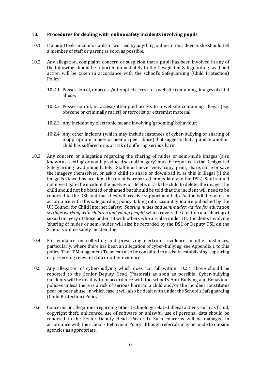## **10. Procedures for dealing with online safety incidents involving pupils**

- 10.1. If a pupil feels uncomfortable or worried by anything online or on a device, she should tell a member of staff or parent as soon as possible.
- 10.2. Any allegation, complaint, concern or suspicion that a pupil has been involved in any of the following should be reported immediately to the Designated Safeguarding Lead and action will be taken in accordance with the school's Safeguarding (Child Protection) Policy:
	- 10.2.1. Possession of, or access/attempted access to a website containing, images of child abuse;
	- 10.2.2. Possession of, or access/attempted access to a website containing, illegal (e.g. obscene or criminally racist) or terrorist or extremist material;
	- 10.2.3. Any incident by electronic means involving 'grooming' behaviour;
	- 10.2.4. Any other incident (which may include instances of cyber-bullying or sharing of inappropriate images or peer on peer abuse) that suggests that a pupil or another child has suffered or is at risk of suffering serious harm.
- 10.3. Any concern or allegation regarding the sharing of nudes or semi-nude images (also known as 'sexting' or youth produced sexual imagery) must be reported to the Designated Safeguarding Lead immediately. Staff must never view, copy, print, share, store or save the imagery themselves, or ask a child to share or download it, as this is illegal (if the image is viewed by accident this must be reported immediately to the DSL). Staff should not investigate the incident themselves or delete, or ask the child to delete, the image. The child should not be blamed or shamed but should be told that the incident will need to be reported to the DSL and that they will receive support and help. Action will be taken in accordance with this safeguarding policy, taking into account guidance published by the UK Council for Child Internet Safety: '*Sharing nudes and semi-nudes: advice for education settings working with children and young people*' which covers the creation and sharing of sexual imagery of those under 18 with others who are also under 18. Incidents involving 'sharing of nudes or semi-nudes will also be recorded by the DSL or Deputy DSL on the School's online safety incident log
- 10.4. For guidance on collecting and preserving electronic evidence in other instances, particularly, where there has been an allegation of cyber-bullying, see Appendix 1 to this policy. The IT Management Team can also be consulted to assist in establishing, capturing or preserving relevant data or other evidence.
- 10.5. Any allegation of cyber-bullying which does not fall within 10.2.4 above should be reported to the Senior Deputy Head (Pastoral) as soon as possible. Cyber-bullying incidents will be dealt with in accordance with the school's Anti-Bullying and Behaviour policies unless there is a risk of serious harm to a child and/or the incident constitutes peer on peer abuse, in which case it will also be dealt with under the School's Safeguarding (Child Protection) Policy.
- 10.6. Concerns or allegations regarding other technology related illegal activity such as fraud, copyright theft, unlicensed use of software or unlawful use of personal data should be reported to the Senior Deputy Head (Pastoral). Such concerns will be managed in accordance with the school's Behaviour Policy although referrals may be made to outside agencies as appropriate.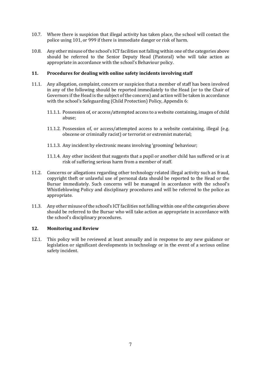- 10.7. Where there is suspicion that illegal activity has taken place, the school will contact the police using 101, or 999 if there is immediate danger or risk of harm.
- 10.8. Any other misuse of the school's ICT facilities not falling within one of the categories above should be referred to the Senior Deputy Head (Pastoral) who will take action as appropriate in accordance with the school's Behaviour policy.

## **11. Procedures for dealing with online safety incidents involving staff**

- 11.1. Any allegation, complaint, concern or suspicion that a member of staff has been involved in any of the following should be reported immediately to the Head (or to the Chair of Governors if the Head is the subject of the concern) and action will be taken in accordance with the school's Safeguarding (Child Protection) Policy, Appendix 6:
	- 11.1.1. Possession of, or access/attempted access to a website containing, images of child abuse;
	- 11.1.2. Possession of, or access/attempted access to a website containing, illegal (e.g. obscene or criminally racist) or terrorist or extremist material;
	- 11.1.3. Any incident by electronic means involving 'grooming' behaviour;
	- 11.1.4. Any other incident that suggests that a pupil or another child has suffered or is at risk of suffering serious harm from a member of staff.
- 11.2. Concerns or allegations regarding other technology related illegal activity such as fraud, copyright theft or unlawful use of personal data should be reported to the Head or the Bursar immediately. Such concerns will be managed in accordance with the school's Whistleblowing Policy and disciplinary procedures and will be referred to the police as appropriate.
- 11.3. Any other misuse of the school's ICT facilities not falling within one of the categories above should be referred to the Bursar who will take action as appropriate in accordance with the school's disciplinary procedures.

## **12. Monitoring and Review**

12.1. This policy will be reviewed at least annually and in response to any new guidance or legislation or significant developments in technology or in the event of a serious online safety incident.